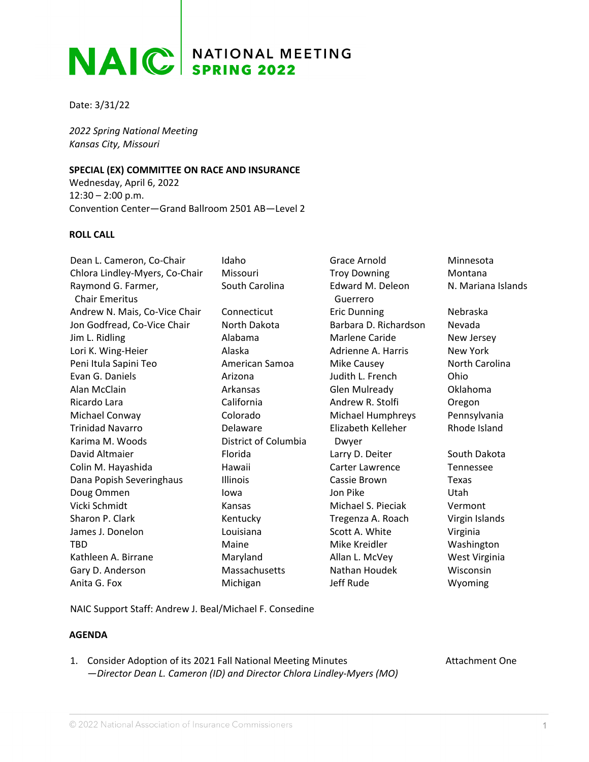## **NAIC** SPRING 2022

Date: 3/31/22

*2022 Spring National Meeting Kansas City, Missouri*

## **SPECIAL (EX) COMMITTEE ON RACE AND INSURANCE**

Wednesday, April 6, 2022 12:30 – 2:00 p.m. Convention Center—Grand Ballroom 2501 AB—Level 2

## **ROLL CALL**

| Dean L. Cameron, Co-Chair                   | Idaho                | Grace Arnold                 | Minnesota          |
|---------------------------------------------|----------------------|------------------------------|--------------------|
| Chlora Lindley-Myers, Co-Chair              | Missouri             | <b>Troy Downing</b>          | Montana            |
| Raymond G. Farmer,<br><b>Chair Emeritus</b> | South Carolina       | Edward M. Deleon<br>Guerrero | N. Mariana Islands |
| Andrew N. Mais, Co-Vice Chair               | Connecticut          | <b>Eric Dunning</b>          | Nebraska           |
| Jon Godfread, Co-Vice Chair                 | North Dakota         | Barbara D. Richardson        | Nevada             |
| Jim L. Ridling                              | Alabama              | Marlene Caride               | New Jersey         |
| Lori K. Wing-Heier                          | Alaska               | Adrienne A. Harris           | New York           |
| Peni Itula Sapini Teo                       | American Samoa       | Mike Causey                  | North Carolina     |
| Evan G. Daniels                             | Arizona              | Judith L. French             | Ohio               |
| Alan McClain                                | Arkansas             | <b>Glen Mulready</b>         | Oklahoma           |
| Ricardo Lara                                | California           | Andrew R. Stolfi             | Oregon             |
| Michael Conway                              | Colorado             | Michael Humphreys            | Pennsylvania       |
| <b>Trinidad Navarro</b>                     | Delaware             | Elizabeth Kelleher           | Rhode Island       |
| Karima M. Woods                             | District of Columbia | Dwyer                        |                    |
| David Altmaier                              | Florida              | Larry D. Deiter              | South Dakota       |
| Colin M. Hayashida                          | Hawaii               | Carter Lawrence              | Tennessee          |
| Dana Popish Severinghaus                    | Illinois             | Cassie Brown                 | Texas              |
| Doug Ommen                                  | lowa                 | Jon Pike                     | <b>Utah</b>        |
| Vicki Schmidt                               | Kansas               | Michael S. Pieciak           | Vermont            |
| Sharon P. Clark                             | Kentucky             | Tregenza A. Roach            | Virgin Islands     |
| James J. Donelon                            | Louisiana            | Scott A. White               | Virginia           |
| <b>TBD</b>                                  | Maine                | Mike Kreidler                | Washington         |
| Kathleen A. Birrane                         | Maryland             | Allan L. McVey               | West Virginia      |
| Gary D. Anderson                            | Massachusetts        | Nathan Houdek                | Wisconsin          |
| Anita G. Fox                                | Michigan             | Jeff Rude                    | Wyoming            |

NAIC Support Staff: Andrew J. Beal/Michael F. Consedine

## **AGENDA**

| 1. Consider Adoption of its 2021 Fall National Meeting Minutes         |
|------------------------------------------------------------------------|
| - Director Dean L. Cameron (ID) and Director Chlora Lindley-Myers (MO) |

Attachment One